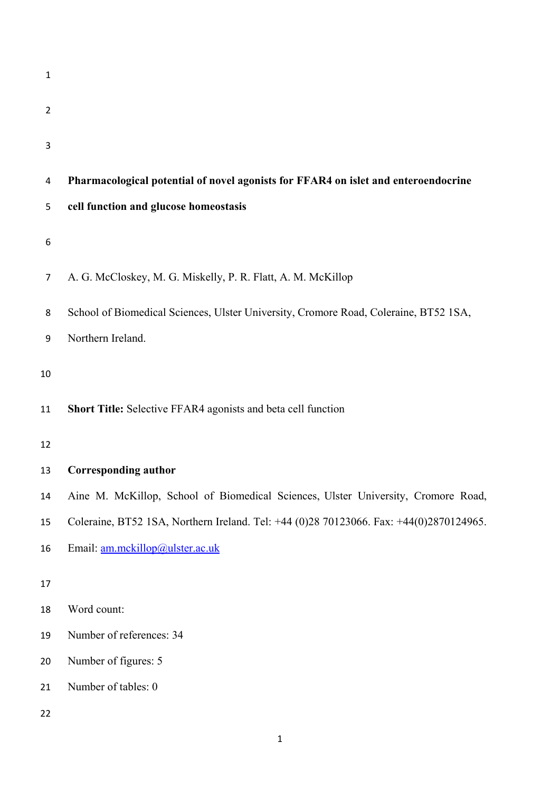| $\mathbf{1}$ |                                                                                        |
|--------------|----------------------------------------------------------------------------------------|
| 2            |                                                                                        |
| 3            |                                                                                        |
| 4            | Pharmacological potential of novel agonists for FFAR4 on islet and enteroendocrine     |
| 5            | cell function and glucose homeostasis                                                  |
| 6            |                                                                                        |
| 7            | A. G. McCloskey, M. G. Miskelly, P. R. Flatt, A. M. McKillop                           |
| 8            | School of Biomedical Sciences, Ulster University, Cromore Road, Coleraine, BT52 1SA,   |
| 9            | Northern Ireland.                                                                      |
| 10           |                                                                                        |
| 11           | Short Title: Selective FFAR4 agonists and beta cell function                           |
| 12           |                                                                                        |
| 13           | <b>Corresponding author</b>                                                            |
| 14           | Aine M. McKillop, School of Biomedical Sciences, Ulster University, Cromore Road,      |
| 15           | Coleraine, BT52 1SA, Northern Ireland. Tel: +44 (0)28 70123066. Fax: +44(0)2870124965. |
| 16           | Email: am.mckillop@ulster.ac.uk                                                        |
| 17           |                                                                                        |
| 18           | Word count:                                                                            |
| 19           | Number of references: 34                                                               |
| 20           | Number of figures: 5                                                                   |
| 21           | Number of tables: 0                                                                    |
| 22           |                                                                                        |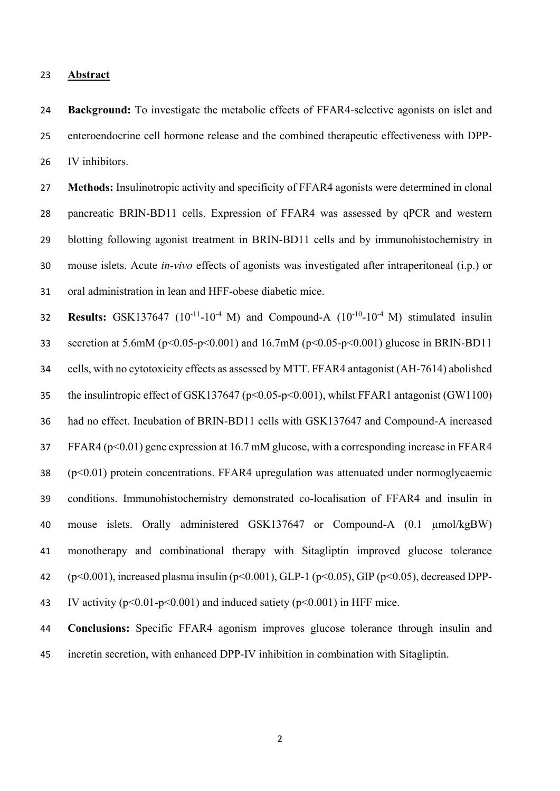### **Abstract**

 **Background:** To investigate the metabolic effects of FFAR4-selective agonists on islet and enteroendocrine cell hormone release and the combined therapeutic effectiveness with DPP-IV inhibitors.

 **Methods:** Insulinotropic activity and specificity of FFAR4 agonists were determined in clonal pancreatic BRIN-BD11 cells. Expression of FFAR4 was assessed by qPCR and western blotting following agonist treatment in BRIN-BD11 cells and by immunohistochemistry in mouse islets. Acute *in-vivo* effects of agonists was investigated after intraperitoneal (i.p.) or oral administration in lean and HFF-obese diabetic mice.

**Results:** GSK137647 ( $10^{-11} - 10^{-4}$  M) and Compound-A ( $10^{-10} - 10^{-4}$  M) stimulated insulin secretion at 5.6mM (p<0.05-p<0.001) and 16.7mM (p<0.05-p<0.001) glucose in BRIN-BD11 cells, with no cytotoxicity effects as assessed by MTT. FFAR4 antagonist (AH-7614) abolished 35 the insulintropic effect of GSK137647 (p<0.05-p<0.001), whilst FFAR1 antagonist (GW1100) had no effect. Incubation of BRIN-BD11 cells with GSK137647 and Compound-A increased FFAR4 (p<0.01) gene expression at 16.7 mM glucose, with a corresponding increase in FFAR4 (p<0.01) protein concentrations. FFAR4 upregulation was attenuated under normoglycaemic conditions. Immunohistochemistry demonstrated co-localisation of FFAR4 and insulin in mouse islets. Orally administered GSK137647 or Compound-A (0.1 µmol/kgBW) monotherapy and combinational therapy with Sitagliptin improved glucose tolerance 42 (p<0.001), increased plasma insulin (p<0.001), GLP-1 (p<0.05), GIP (p<0.05), decreased DPP-43 IV activity  $(p<0.01-p<0.001)$  and induced satiety  $(p<0.001)$  in HFF mice.

 **Conclusions:** Specific FFAR4 agonism improves glucose tolerance through insulin and incretin secretion, with enhanced DPP-IV inhibition in combination with Sitagliptin.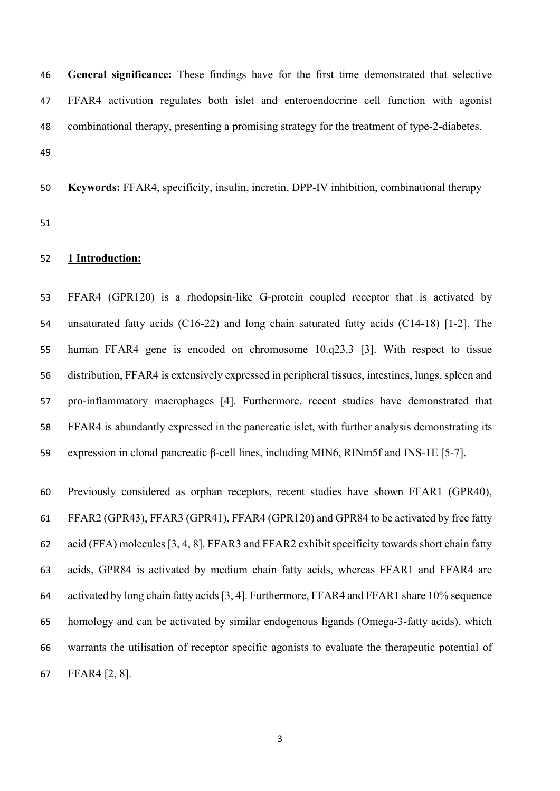**General significance:** These findings have for the first time demonstrated that selective FFAR4 activation regulates both islet and enteroendocrine cell function with agonist combinational therapy, presenting a promising strategy for the treatment of type-2-diabetes. 

 **Keywords:** FFAR4, specificity, insulin, incretin, DPP-IV inhibition, combinational therapy 

## **1 Introduction:**

 FFAR4 (GPR120) is a rhodopsin-like G-protein coupled receptor that is activated by unsaturated fatty acids (C16-22) and long chain saturated fatty acids (C14-18) [1-2]. The human FFAR4 gene is encoded on chromosome 10.q23.3 [3]. With respect to tissue distribution, FFAR4 is extensively expressed in peripheral tissues, intestines, lungs, spleen and pro-inflammatory macrophages [4]. Furthermore, recent studies have demonstrated that FFAR4 is abundantly expressed in the pancreatic islet, with further analysis demonstrating its expression in clonal pancreatic β-cell lines, including MIN6, RINm5f and INS-1E [5-7].

 Previously considered as orphan receptors, recent studies have shown FFAR1 (GPR40), FFAR2 (GPR43), FFAR3 (GPR41), FFAR4 (GPR120) and GPR84 to be activated by free fatty acid (FFA) molecules [3, 4, 8]. FFAR3 and FFAR2 exhibit specificity towards short chain fatty acids, GPR84 is activated by medium chain fatty acids, whereas FFAR1 and FFAR4 are activated by long chain fatty acids [3, 4]. Furthermore, FFAR4 and FFAR1 share 10% sequence homology and can be activated by similar endogenous ligands (Omega-3-fatty acids), which warrants the utilisation of receptor specific agonists to evaluate the therapeutic potential of FFAR4 [2, 8].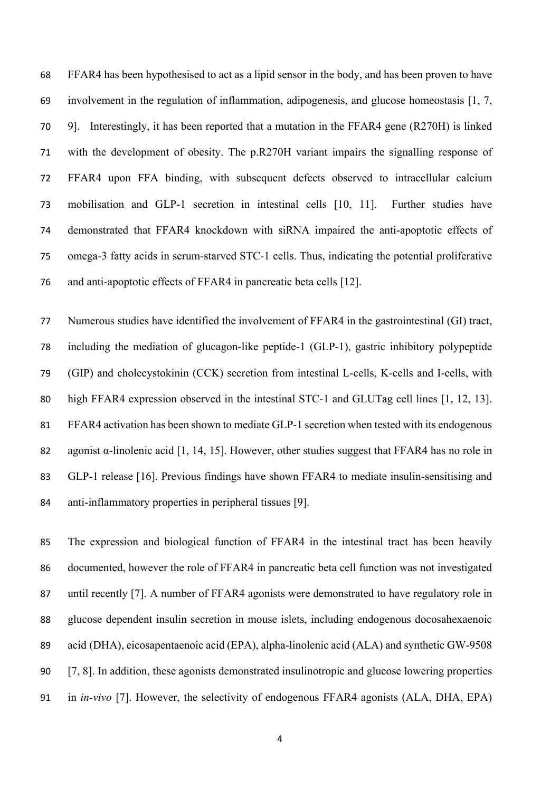FFAR4 has been hypothesised to act as a lipid sensor in the body, and has been proven to have involvement in the regulation of inflammation, adipogenesis, and glucose homeostasis [1, 7, 9]. Interestingly, it has been reported that a mutation in the FFAR4 gene (R270H) is linked with the development of obesity. The p.R270H variant impairs the signalling response of FFAR4 upon FFA binding, with subsequent defects observed to intracellular calcium mobilisation and GLP-1 secretion in intestinal cells [10, 11]. Further studies have demonstrated that FFAR4 knockdown with siRNA impaired the anti-apoptotic effects of omega-3 fatty acids in serum-starved STC-1 cells. Thus, indicating the potential proliferative and anti-apoptotic effects of FFAR4 in pancreatic beta cells [12].

 Numerous studies have identified the involvement of FFAR4 in the gastrointestinal (GI) tract, including the mediation of glucagon-like peptide-1 (GLP-1), gastric inhibitory polypeptide (GIP) and cholecystokinin (CCK) secretion from intestinal L-cells, K-cells and I-cells, with high FFAR4 expression observed in the intestinal STC-1 and GLUTag cell lines [1, 12, 13]. FFAR4 activation has been shown to mediate GLP-1 secretion when tested with its endogenous agonist α-linolenic acid [1, 14, 15]. However, other studies suggest that FFAR4 has no role in 83 GLP-1 release [16]. Previous findings have shown FFAR4 to mediate insulin-sensitising and anti-inflammatory properties in peripheral tissues [9].

 The expression and biological function of FFAR4 in the intestinal tract has been heavily documented, however the role of FFAR4 in pancreatic beta cell function was not investigated until recently [7]. A number of FFAR4 agonists were demonstrated to have regulatory role in glucose dependent insulin secretion in mouse islets, including endogenous docosahexaenoic acid (DHA), eicosapentaenoic acid (EPA), alpha-linolenic acid (ALA) and synthetic GW-9508 [7, 8]. In addition, these agonists demonstrated insulinotropic and glucose lowering properties in *in-vivo* [7]. However, the selectivity of endogenous FFAR4 agonists (ALA, DHA, EPA)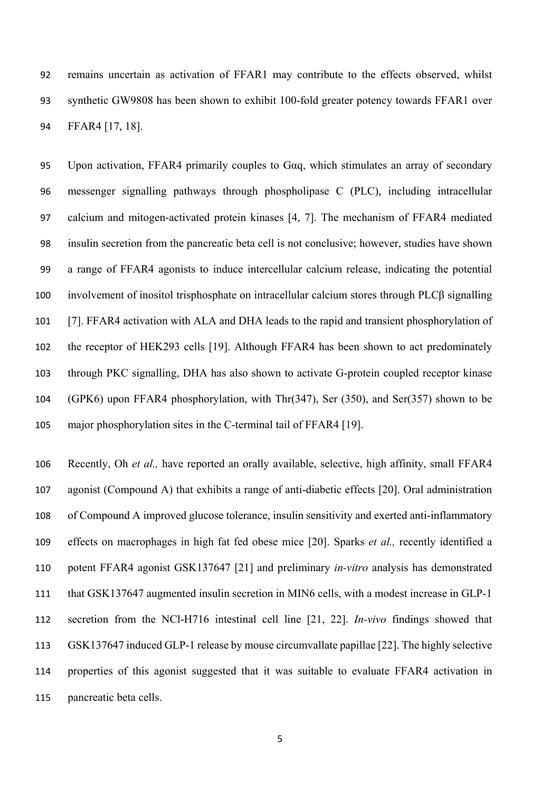remains uncertain as activation of FFAR1 may contribute to the effects observed, whilst synthetic GW9808 has been shown to exhibit 100-fold greater potency towards FFAR1 over FFAR4 [17, 18].

 Upon activation, FFAR4 primarily couples to Gαq, which stimulates an array of secondary messenger signalling pathways through phospholipase C (PLC), including intracellular calcium and mitogen-activated protein kinases [4, 7]. The mechanism of FFAR4 mediated insulin secretion from the pancreatic beta cell is not conclusive; however, studies have shown a range of FFAR4 agonists to induce intercellular calcium release, indicating the potential involvement of inositol trisphosphate on intracellular calcium stores through PLCβ signalling [7]. FFAR4 activation with ALA and DHA leads to the rapid and transient phosphorylation of the receptor of HEK293 cells [19]. Although FFAR4 has been shown to act predominately through PKC signalling, DHA has also shown to activate G-protein coupled receptor kinase (GPK6) upon FFAR4 phosphorylation, with Thr(347), Ser (350), and Ser(357) shown to be major phosphorylation sites in the C-terminal tail of FFAR4 [19].

 Recently, Oh *et al.,* have reported an orally available, selective, high affinity, small FFAR4 agonist (Compound A) that exhibits a range of anti-diabetic effects [20]. Oral administration of Compound A improved glucose tolerance, insulin sensitivity and exerted anti-inflammatory effects on macrophages in high fat fed obese mice [20]. Sparks *et al.,* recently identified a potent FFAR4 agonist GSK137647 [21] and preliminary *in-vitro* analysis has demonstrated that GSK137647 augmented insulin secretion in MIN6 cells, with a modest increase in GLP-1 secretion from the NCl-H716 intestinal cell line [21, 22]. *In-vivo* findings showed that GSK137647 induced GLP-1 release by mouse circumvallate papillae [22]. The highly selective properties of this agonist suggested that it was suitable to evaluate FFAR4 activation in pancreatic beta cells.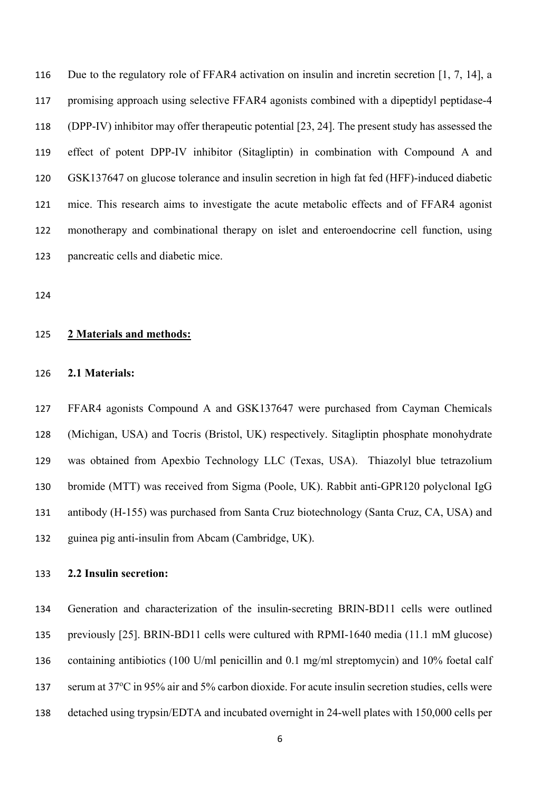Due to the regulatory role of FFAR4 activation on insulin and incretin secretion [1, 7, 14], a promising approach using selective FFAR4 agonists combined with a dipeptidyl peptidase-4 (DPP-IV) inhibitor may offer therapeutic potential [23, 24]. The present study has assessed the effect of potent DPP-IV inhibitor (Sitagliptin) in combination with Compound A and GSK137647 on glucose tolerance and insulin secretion in high fat fed (HFF)-induced diabetic mice. This research aims to investigate the acute metabolic effects and of FFAR4 agonist monotherapy and combinational therapy on islet and enteroendocrine cell function, using pancreatic cells and diabetic mice.

## **2 Materials and methods:**

#### **2.1 Materials:**

 FFAR4 agonists Compound A and GSK137647 were purchased from Cayman Chemicals (Michigan, USA) and Tocris (Bristol, UK) respectively. Sitagliptin phosphate monohydrate was obtained from Apexbio Technology LLC (Texas, USA). Thiazolyl blue tetrazolium bromide (MTT) was received from Sigma (Poole, UK). Rabbit anti-GPR120 polyclonal IgG antibody (H-155) was purchased from Santa Cruz biotechnology (Santa Cruz, CA, USA) and guinea pig anti-insulin from Abcam (Cambridge, UK).

## **2.2 Insulin secretion:**

 Generation and characterization of the insulin-secreting BRIN-BD11 cells were outlined previously [25]. BRIN-BD11 cells were cultured with RPMI-1640 media (11.1 mM glucose) containing antibiotics (100 U/ml penicillin and 0.1 mg/ml streptomycin) and 10% foetal calf serum at  $37^{\circ}$ C in 95% air and 5% carbon dioxide. For acute insulin secretion studies, cells were detached using trypsin/EDTA and incubated overnight in 24-well plates with 150,000 cells per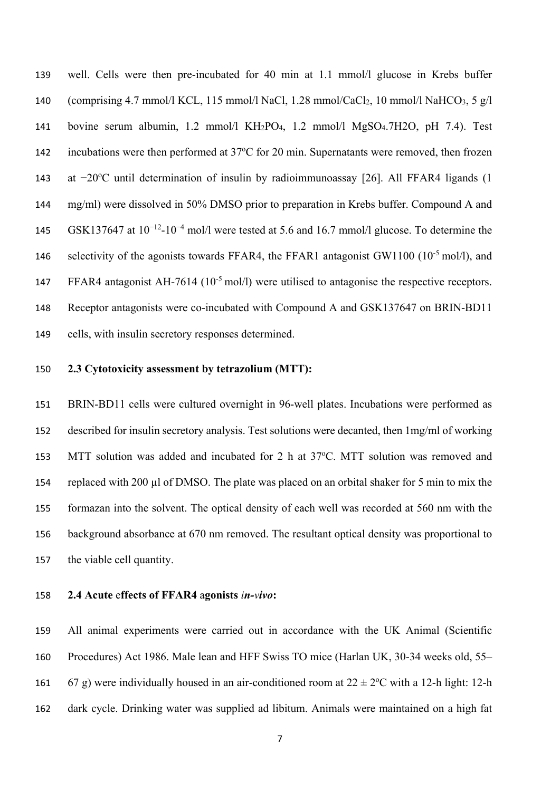well. Cells were then pre-incubated for 40 min at 1.1 mmol/l glucose in Krebs buffer (comprising 4.7 mmol/l KCL, 115 mmol/l NaCl, 1.28 mmol/CaCl2, 10 mmol/l NaHCO3, 5 g/l bovine serum albumin, 1.2 mmol/l KH2PO4, 1.2 mmol/l MgSO4.7H2O, pH 7.4). Test 142 incubations were then performed at  $37^{\circ}$ C for 20 min. Supernatants were removed, then frozen 143 at −20°C until determination of insulin by radioimmunoassay [26]. All FFAR4 ligands (1 mg/ml) were dissolved in 50% DMSO prior to preparation in Krebs buffer. Compound A and GSK137647 at  $10^{-12}$ -10<sup>-4</sup> mol/l were tested at 5.6 and 16.7 mmol/l glucose. To determine the 146 selectivity of the agonists towards FFAR4, the FFAR1 antagonist GW1100 ( $10^{-5}$  mol/l), and 147 FFAR4 antagonist AH-7614 ( $10^{-5}$  mol/l) were utilised to antagonise the respective receptors. Receptor antagonists were co-incubated with Compound A and GSK137647 on BRIN-BD11 cells, with insulin secretory responses determined.

# **2.3 Cytotoxicity assessment by tetrazolium (MTT):**

 BRIN-BD11 cells were cultured overnight in 96-well plates. Incubations were performed as described for insulin secretory analysis. Test solutions were decanted, then 1mg/ml of working 153 MTT solution was added and incubated for 2 h at  $37^{\circ}$ C. MTT solution was removed and replaced with 200 µl of DMSO. The plate was placed on an orbital shaker for 5 min to mix the formazan into the solvent. The optical density of each well was recorded at 560 nm with the background absorbance at 670 nm removed. The resultant optical density was proportional to the viable cell quantity.

### **2.4 Acute** e**ffects of FFAR4** a**gonists** *in-vivo***:**

 All animal experiments were carried out in accordance with the UK Animal (Scientific Procedures) Act 1986. Male lean and HFF Swiss TO mice (Harlan UK, 30-34 weeks old, 55– 161 67 g) were individually housed in an air-conditioned room at  $22 \pm 2^{\circ}$ C with a 12-h light: 12-h dark cycle. Drinking water was supplied ad libitum. Animals were maintained on a high fat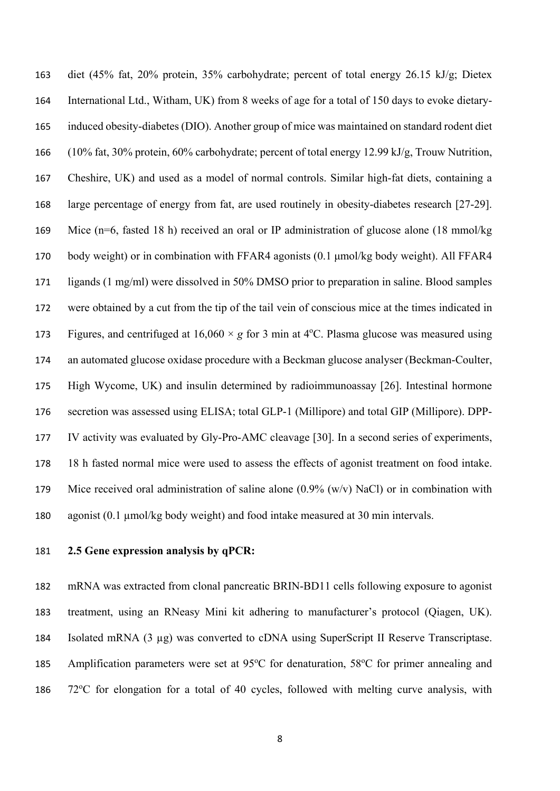diet (45% fat, 20% protein, 35% carbohydrate; percent of total energy 26.15 kJ/g; Dietex International Ltd., Witham, UK) from 8 weeks of age for a total of 150 days to evoke dietary- induced obesity-diabetes (DIO). Another group of mice was maintained on standard rodent diet (10% fat, 30% protein, 60% carbohydrate; percent of total energy 12.99 kJ/g, Trouw Nutrition, Cheshire, UK) and used as a model of normal controls. Similar high-fat diets, containing a large percentage of energy from fat, are used routinely in obesity-diabetes research [27-29]. Mice (n=6, fasted 18 h) received an oral or IP administration of glucose alone (18 mmol/kg body weight) or in combination with FFAR4 agonists (0.1 μmol/kg body weight). All FFAR4 ligands (1 mg/ml) were dissolved in 50% DMSO prior to preparation in saline. Blood samples were obtained by a cut from the tip of the tail vein of conscious mice at the times indicated in 173 Figures, and centrifuged at  $16,060 \times g$  for 3 min at 4<sup>o</sup>C. Plasma glucose was measured using an automated glucose oxidase procedure with a Beckman glucose analyser (Beckman-Coulter, High Wycome, UK) and insulin determined by radioimmunoassay [26]. Intestinal hormone secretion was assessed using ELISA; total GLP-1 (Millipore) and total GIP (Millipore). DPP- IV activity was evaluated by Gly-Pro-AMC cleavage [30]. In a second series of experiments, 18 h fasted normal mice were used to assess the effects of agonist treatment on food intake. 179 Mice received oral administration of saline alone  $(0.9\%$  (w/v) NaCl) or in combination with agonist (0.1 µmol/kg body weight) and food intake measured at 30 min intervals.

# **2.5 Gene expression analysis by qPCR:**

 mRNA was extracted from clonal pancreatic BRIN-BD11 cells following exposure to agonist treatment, using an RNeasy Mini kit adhering to manufacturer's protocol (Qiagen, UK). Isolated mRNA (3 µg) was converted to cDNA using SuperScript II Reserve Transcriptase. 185 Amplification parameters were set at 95°C for denaturation, 58°C for primer annealing and  $72^{\circ}$ C for elongation for a total of 40 cycles, followed with melting curve analysis, with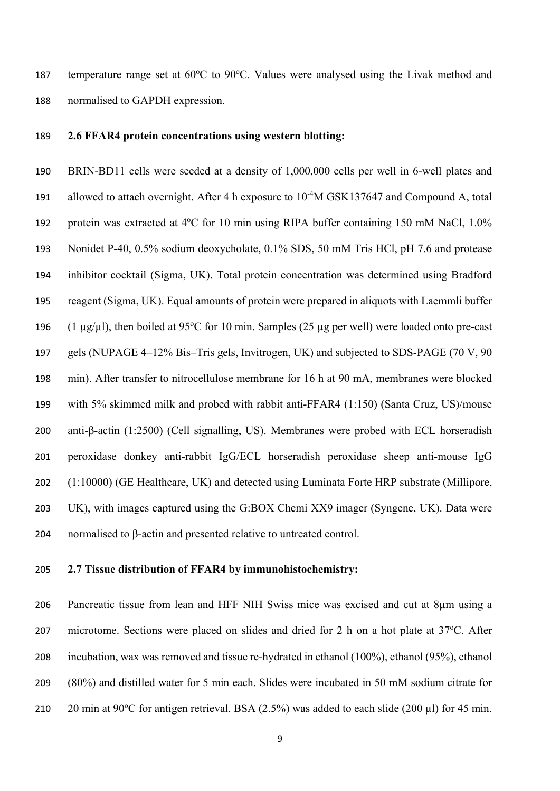187 temperature range set at  $60^{\circ}$ C to  $90^{\circ}$ C. Values were analysed using the Livak method and normalised to GAPDH expression.

### **2.6 FFAR4 protein concentrations using western blotting:**

 BRIN-BD11 cells were seeded at a density of 1,000,000 cells per well in 6-well plates and 191 allowed to attach overnight. After 4 h exposure to  $10^{4}M$  GSK137647 and Compound A, total 192 protein was extracted at  $4^{\circ}$ C for 10 min using RIPA buffer containing 150 mM NaCl, 1.0% Nonidet P-40, 0.5% sodium deoxycholate, 0.1% SDS, 50 mM Tris HCl, pH 7.6 and protease inhibitor cocktail (Sigma, UK). Total protein concentration was determined using Bradford reagent (Sigma, UK). Equal amounts of protein were prepared in aliquots with Laemmli buffer 196 (1  $\mu$ g/ $\mu$ l), then boiled at 95<sup>o</sup>C for 10 min. Samples (25  $\mu$ g per well) were loaded onto pre-cast gels (NUPAGE 4–12% Bis–Tris gels, Invitrogen, UK) and subjected to SDS-PAGE (70 V, 90 min). After transfer to nitrocellulose membrane for 16 h at 90 mA, membranes were blocked with 5% skimmed milk and probed with rabbit anti-FFAR4 (1:150) (Santa Cruz, US)/mouse anti-β-actin (1:2500) (Cell signalling, US). Membranes were probed with ECL horseradish peroxidase donkey anti-rabbit IgG/ECL horseradish peroxidase sheep anti-mouse IgG (1:10000) (GE Healthcare, UK) and detected using Luminata Forte HRP substrate (Millipore, UK), with images captured using the G:BOX Chemi XX9 imager (Syngene, UK). Data were normalised to β-actin and presented relative to untreated control.

### **2.7 Tissue distribution of FFAR4 by immunohistochemistry:**

 Pancreatic tissue from lean and HFF NIH Swiss mice was excised and cut at 8µm using a 207 microtome. Sections were placed on slides and dried for 2 h on a hot plate at  $37^{\circ}$ C. After incubation, wax was removed and tissue re-hydrated in ethanol (100%), ethanol (95%), ethanol (80%) and distilled water for 5 min each. Slides were incubated in 50 mM sodium citrate for 210 20 min at 90 $^{\circ}$ C for antigen retrieval. BSA (2.5%) was added to each slide (200 µl) for 45 min.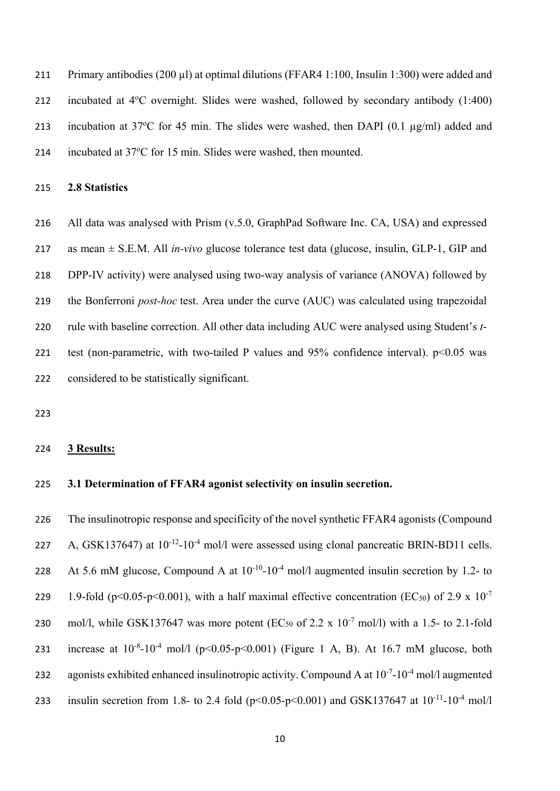211 Primary antibodies (200 µl) at optimal dilutions (FFAR4 1:100, Insulin 1:300) were added and 212 incubated at  $4^{\circ}$ C overnight. Slides were washed, followed by secondary antibody (1:400) 213 incubation at 37 $\degree$ C for 45 min. The slides were washed, then DAPI (0.1 µg/ml) added and 214 incubated at  $37^{\circ}$ C for 15 min. Slides were washed, then mounted.

215 **2.8 Statistics** 

 All data was analysed with Prism (v.5.0, GraphPad Software Inc. CA, USA) and expressed as mean ± S.E.M. All *in-vivo* glucose tolerance test data (glucose, insulin, GLP-1, GIP and DPP-IV activity) were analysed using two-way analysis of variance (ANOVA) followed by the Bonferroni *post-hoc* test. Area under the curve (AUC) was calculated using trapezoidal rule with baseline correction. All other data including AUC were analysed using Student's *t*-221 test (non-parametric, with two-tailed P values and  $95\%$  confidence interval).  $p<0.05$  was considered to be statistically significant.

223

# 224 **3 Results:**

# 225 **3.1 Determination of FFAR4 agonist selectivity on insulin secretion.**

226 The insulinotropic response and specificity of the novel synthetic FFAR4 agonists (Compound 227 A, GSK137647) at  $10^{-12}$ - $10^{-4}$  mol/l were assessed using clonal pancreatic BRIN-BD11 cells. 228 At 5.6 mM glucose, Compound A at  $10^{-10}$ - $10^{-4}$  mol/l augmented insulin secretion by 1.2- to 229 1.9-fold (p<0.05-p<0.001), with a half maximal effective concentration (EC<sub>50</sub>) of 2.9 x 10<sup>-7</sup> 230 mol/l, while GSK137647 was more potent (EC<sub>50</sub> of 2.2 x 10<sup>-7</sup> mol/l) with a 1.5- to 2.1-fold 231 increase at  $10^{-8}$ -10<sup>-4</sup> mol/l (p<0.05-p<0.001) (Figure 1 A, B). At 16.7 mM glucose, both 232 agonists exhibited enhanced insulinotropic activity. Compound A at  $10^{-7}$ - $10^{-4}$  mol/l augmented 233 insulin secretion from 1.8- to 2.4 fold ( $p < 0.05-p < 0.001$ ) and GSK137647 at  $10^{-11}$ - $10^{-4}$  mol/l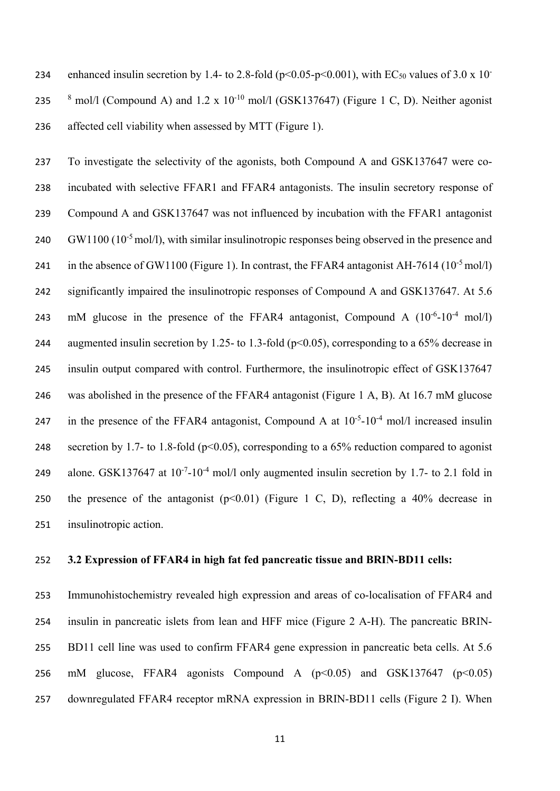enhanced insulin secretion by 1.4- to 2.8-fold ( $p<0.05-p<0.001$ ), with EC<sub>50</sub> values of 3.0 x 10<sup>-</sup> 235  $\frac{8}{}$  mol/l (Compound A) and 1.2 x 10<sup>-10</sup> mol/l (GSK137647) (Figure 1 C, D). Neither agonist 236 affected cell viability when assessed by MTT (Figure 1).

237 To investigate the selectivity of the agonists, both Compound A and GSK137647 were co-238 incubated with selective FFAR1 and FFAR4 antagonists. The insulin secretory response of 239 Compound A and GSK137647 was not influenced by incubation with the FFAR1 antagonist  $GW1100 (10<sup>-5</sup> mol/1)$ , with similar insulinotropic responses being observed in the presence and 241 in the absence of GW1100 (Figure 1). In contrast, the FFAR4 antagonist AH-7614 ( $10^{-5}$  mol/l) 242 significantly impaired the insulinotropic responses of Compound A and GSK137647. At 5.6 243 mM glucose in the presence of the FFAR4 antagonist, Compound A  $(10^{-6} - 10^{-4} \text{ mol/l})$ 244 augmented insulin secretion by 1.25- to 1.3-fold ( $p<0.05$ ), corresponding to a 65% decrease in 245 insulin output compared with control. Furthermore, the insulinotropic effect of GSK137647 246 was abolished in the presence of the FFAR4 antagonist (Figure 1 A, B). At 16.7 mM glucose 247 in the presence of the FFAR4 antagonist, Compound A at  $10^{-5}$ - $10^{-4}$  mol/l increased insulin 248 secretion by 1.7- to 1.8-fold ( $p<0.05$ ), corresponding to a 65% reduction compared to agonist 249 alone. GSK137647 at  $10^{-7}$ -10<sup>-4</sup> mol/l only augmented insulin secretion by 1.7- to 2.1 fold in 250 the presence of the antagonist  $(p<0.01)$  (Figure 1 C, D), reflecting a 40% decrease in 251 insulinotropic action.

## 252 **3.2 Expression of FFAR4 in high fat fed pancreatic tissue and BRIN-BD11 cells:**

 Immunohistochemistry revealed high expression and areas of co-localisation of FFAR4 and insulin in pancreatic islets from lean and HFF mice (Figure 2 A-H). The pancreatic BRIN- BD11 cell line was used to confirm FFAR4 gene expression in pancreatic beta cells. At 5.6 256 mM glucose, FFAR4 agonists Compound A  $(p<0.05)$  and GSK137647  $(p<0.05)$ downregulated FFAR4 receptor mRNA expression in BRIN-BD11 cells (Figure 2 I). When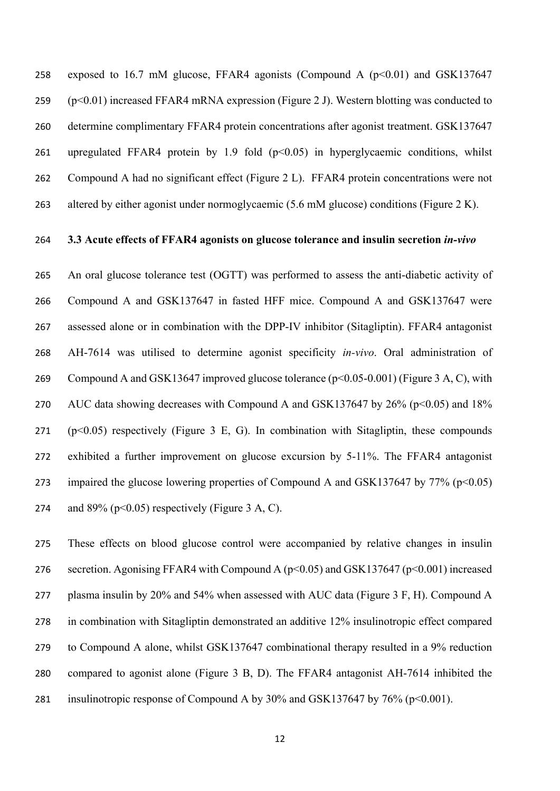exposed to 16.7 mM glucose, FFAR4 agonists (Compound A (p<0.01) and GSK137647 (p<0.01) increased FFAR4 mRNA expression (Figure 2 J). Western blotting was conducted to determine complimentary FFAR4 protein concentrations after agonist treatment. GSK137647 261 upregulated FFAR4 protein by 1.9 fold  $(p<0.05)$  in hyperglycaemic conditions, whilst Compound A had no significant effect (Figure 2 L). FFAR4 protein concentrations were not altered by either agonist under normoglycaemic (5.6 mM glucose) conditions (Figure 2 K).

#### **3.3 Acute effects of FFAR4 agonists on glucose tolerance and insulin secretion** *in-vivo*

 An oral glucose tolerance test (OGTT) was performed to assess the anti-diabetic activity of Compound A and GSK137647 in fasted HFF mice. Compound A and GSK137647 were assessed alone or in combination with the DPP-IV inhibitor (Sitagliptin). FFAR4 antagonist AH-7614 was utilised to determine agonist specificity *in-vivo*. Oral administration of 269 Compound A and GSK13647 improved glucose tolerance (p<0.05-0.001) (Figure 3 A, C), with 270 AUC data showing decreases with Compound A and GSK137647 by 26% (p<0.05) and 18% (p<0.05) respectively (Figure 3 E, G). In combination with Sitagliptin, these compounds exhibited a further improvement on glucose excursion by 5-11%. The FFAR4 antagonist 273 impaired the glucose lowering properties of Compound A and GSK137647 by 77% ( $p \le 0.05$ ) 274 and 89% ( $p<0.05$ ) respectively (Figure 3 A, C).

 These effects on blood glucose control were accompanied by relative changes in insulin 276 secretion. Agonising FFAR4 with Compound A  $(p<0.05)$  and GSK137647  $(p<0.001)$  increased plasma insulin by 20% and 54% when assessed with AUC data (Figure 3 F, H). Compound A in combination with Sitagliptin demonstrated an additive 12% insulinotropic effect compared to Compound A alone, whilst GSK137647 combinational therapy resulted in a 9% reduction compared to agonist alone (Figure 3 B, D). The FFAR4 antagonist AH-7614 inhibited the 281 insulinotropic response of Compound A by 30% and GSK137647 by 76% (p<0.001).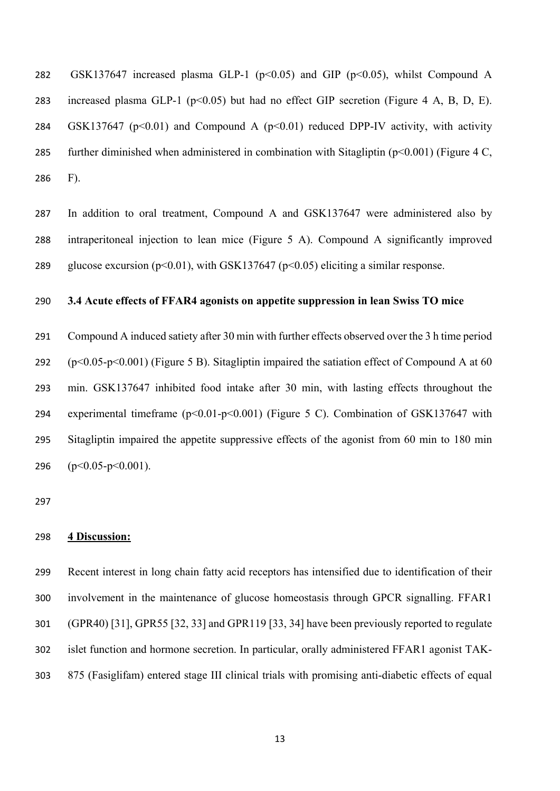282 GSK137647 increased plasma GLP-1 ( $p<0.05$ ) and GIP ( $p<0.05$ ), whilst Compound A 283 increased plasma GLP-1 ( $p<0.05$ ) but had no effect GIP secretion (Figure 4 A, B, D, E). 284 GSK137647 ( $p \le 0.01$ ) and Compound A ( $p \le 0.01$ ) reduced DPP-IV activity, with activity further diminished when administered in combination with Sitagliptin (p<0.001) (Figure 4 C, F).

 In addition to oral treatment, Compound A and GSK137647 were administered also by intraperitoneal injection to lean mice (Figure 5 A). Compound A significantly improved 289 glucose excursion  $(p<0.01)$ , with GSK137647  $(p<0.05)$  eliciting a similar response.

### **3.4 Acute effects of FFAR4 agonists on appetite suppression in lean Swiss TO mice**

 Compound A induced satiety after 30 min with further effects observed over the 3 h time period (p<0.05-p<0.001) (Figure 5 B). Sitagliptin impaired the satiation effect of Compound A at 60 min. GSK137647 inhibited food intake after 30 min, with lasting effects throughout the 294 experimental timeframe  $(p<0.01-p<0.001)$  (Figure 5 C). Combination of GSK137647 with Sitagliptin impaired the appetite suppressive effects of the agonist from 60 min to 180 min  $(p<0.05-p<0.001)$ .

## **4 Discussion:**

 Recent interest in long chain fatty acid receptors has intensified due to identification of their involvement in the maintenance of glucose homeostasis through GPCR signalling. FFAR1 (GPR40) [31], GPR55 [32, 33] and GPR119 [33, 34] have been previously reported to regulate islet function and hormone secretion. In particular, orally administered FFAR1 agonist TAK-875 (Fasiglifam) entered stage III clinical trials with promising anti-diabetic effects of equal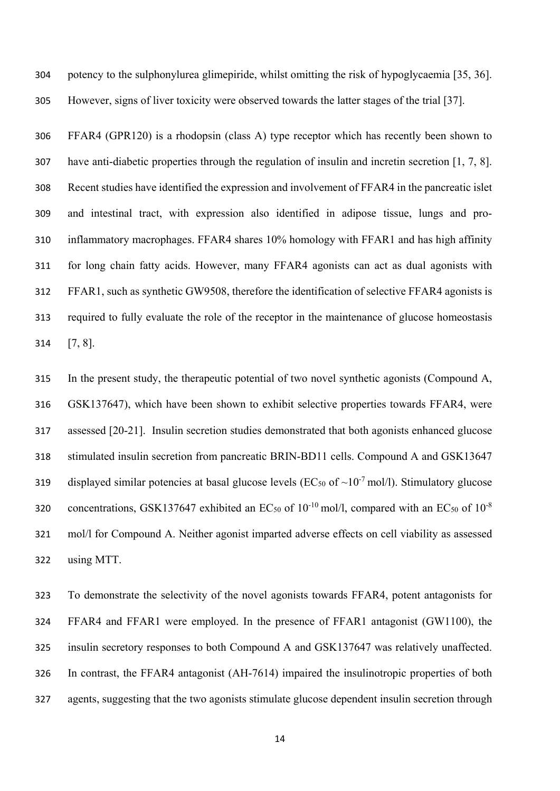potency to the sulphonylurea glimepiride, whilst omitting the risk of hypoglycaemia [35, 36]. However, signs of liver toxicity were observed towards the latter stages of the trial [37].

 FFAR4 (GPR120) is a rhodopsin (class A) type receptor which has recently been shown to have anti-diabetic properties through the regulation of insulin and incretin secretion [1, 7, 8]. Recent studies have identified the expression and involvement of FFAR4 in the pancreatic islet and intestinal tract, with expression also identified in adipose tissue, lungs and pro- inflammatory macrophages. FFAR4 shares 10% homology with FFAR1 and has high affinity for long chain fatty acids. However, many FFAR4 agonists can act as dual agonists with FFAR1, such as synthetic GW9508, therefore the identification of selective FFAR4 agonists is required to fully evaluate the role of the receptor in the maintenance of glucose homeostasis [7, 8].

 In the present study, the therapeutic potential of two novel synthetic agonists (Compound A, GSK137647), which have been shown to exhibit selective properties towards FFAR4, were assessed [20-21]. Insulin secretion studies demonstrated that both agonists enhanced glucose stimulated insulin secretion from pancreatic BRIN-BD11 cells. Compound A and GSK13647 319 displayed similar potencies at basal glucose levels ( $EC_{50}$  of  $\sim 10^{-7}$  mol/l). Stimulatory glucose 320 concentrations, GSK137647 exhibited an EC<sub>50</sub> of  $10^{-10}$  mol/l, compared with an EC<sub>50</sub> of  $10^{-8}$  mol/l for Compound A. Neither agonist imparted adverse effects on cell viability as assessed using MTT.

 To demonstrate the selectivity of the novel agonists towards FFAR4, potent antagonists for FFAR4 and FFAR1 were employed. In the presence of FFAR1 antagonist (GW1100), the insulin secretory responses to both Compound A and GSK137647 was relatively unaffected. In contrast, the FFAR4 antagonist (AH-7614) impaired the insulinotropic properties of both agents, suggesting that the two agonists stimulate glucose dependent insulin secretion through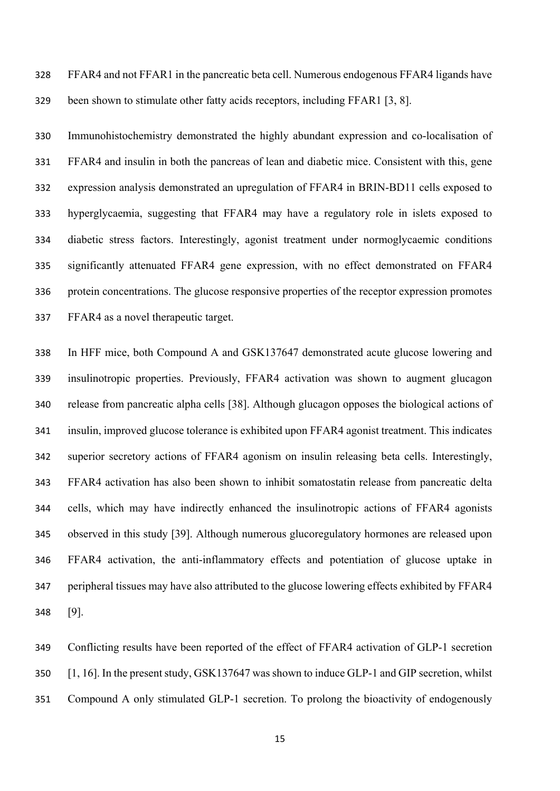FFAR4 and not FFAR1 in the pancreatic beta cell. Numerous endogenous FFAR4 ligands have been shown to stimulate other fatty acids receptors, including FFAR1 [3, 8].

 Immunohistochemistry demonstrated the highly abundant expression and co-localisation of FFAR4 and insulin in both the pancreas of lean and diabetic mice. Consistent with this, gene expression analysis demonstrated an upregulation of FFAR4 in BRIN-BD11 cells exposed to hyperglycaemia, suggesting that FFAR4 may have a regulatory role in islets exposed to diabetic stress factors. Interestingly, agonist treatment under normoglycaemic conditions significantly attenuated FFAR4 gene expression, with no effect demonstrated on FFAR4 protein concentrations. The glucose responsive properties of the receptor expression promotes FFAR4 as a novel therapeutic target.

 In HFF mice, both Compound A and GSK137647 demonstrated acute glucose lowering and insulinotropic properties. Previously, FFAR4 activation was shown to augment glucagon release from pancreatic alpha cells [38]. Although glucagon opposes the biological actions of insulin, improved glucose tolerance is exhibited upon FFAR4 agonist treatment. This indicates superior secretory actions of FFAR4 agonism on insulin releasing beta cells. Interestingly, FFAR4 activation has also been shown to inhibit somatostatin release from pancreatic delta cells, which may have indirectly enhanced the insulinotropic actions of FFAR4 agonists observed in this study [39]. Although numerous glucoregulatory hormones are released upon FFAR4 activation, the anti-inflammatory effects and potentiation of glucose uptake in peripheral tissues may have also attributed to the glucose lowering effects exhibited by FFAR4 [9].

 Conflicting results have been reported of the effect of FFAR4 activation of GLP-1 secretion [1, 16]. In the present study, GSK137647 was shown to induce GLP-1 and GIP secretion, whilst Compound A only stimulated GLP-1 secretion. To prolong the bioactivity of endogenously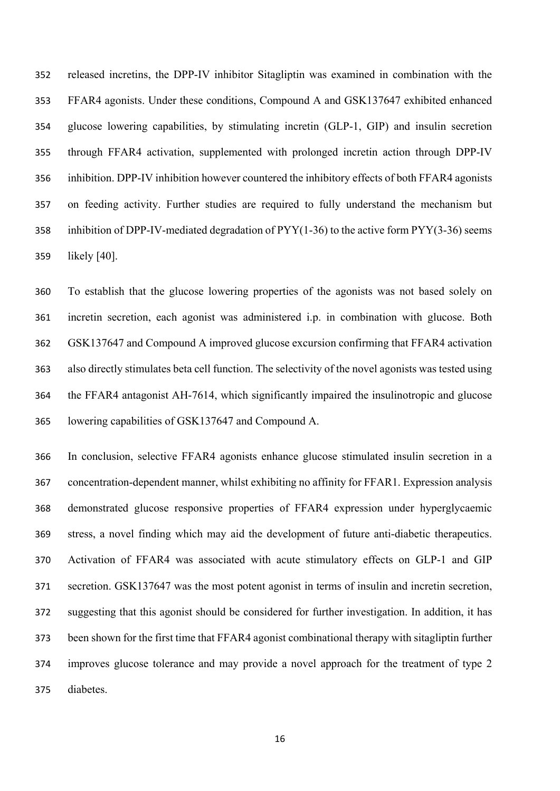released incretins, the DPP-IV inhibitor Sitagliptin was examined in combination with the FFAR4 agonists. Under these conditions, Compound A and GSK137647 exhibited enhanced glucose lowering capabilities, by stimulating incretin (GLP-1, GIP) and insulin secretion through FFAR4 activation, supplemented with prolonged incretin action through DPP-IV inhibition. DPP-IV inhibition however countered the inhibitory effects of both FFAR4 agonists on feeding activity. Further studies are required to fully understand the mechanism but inhibition of DPP-IV-mediated degradation of PYY(1-36) to the active form PYY(3-36) seems likely [40].

 To establish that the glucose lowering properties of the agonists was not based solely on incretin secretion, each agonist was administered i.p. in combination with glucose. Both GSK137647 and Compound A improved glucose excursion confirming that FFAR4 activation also directly stimulates beta cell function. The selectivity of the novel agonists was tested using the FFAR4 antagonist AH-7614, which significantly impaired the insulinotropic and glucose lowering capabilities of GSK137647 and Compound A.

 In conclusion, selective FFAR4 agonists enhance glucose stimulated insulin secretion in a concentration-dependent manner, whilst exhibiting no affinity for FFAR1. Expression analysis demonstrated glucose responsive properties of FFAR4 expression under hyperglycaemic stress, a novel finding which may aid the development of future anti-diabetic therapeutics. Activation of FFAR4 was associated with acute stimulatory effects on GLP-1 and GIP secretion. GSK137647 was the most potent agonist in terms of insulin and incretin secretion, suggesting that this agonist should be considered for further investigation. In addition, it has been shown for the first time that FFAR4 agonist combinational therapy with sitagliptin further improves glucose tolerance and may provide a novel approach for the treatment of type 2 diabetes.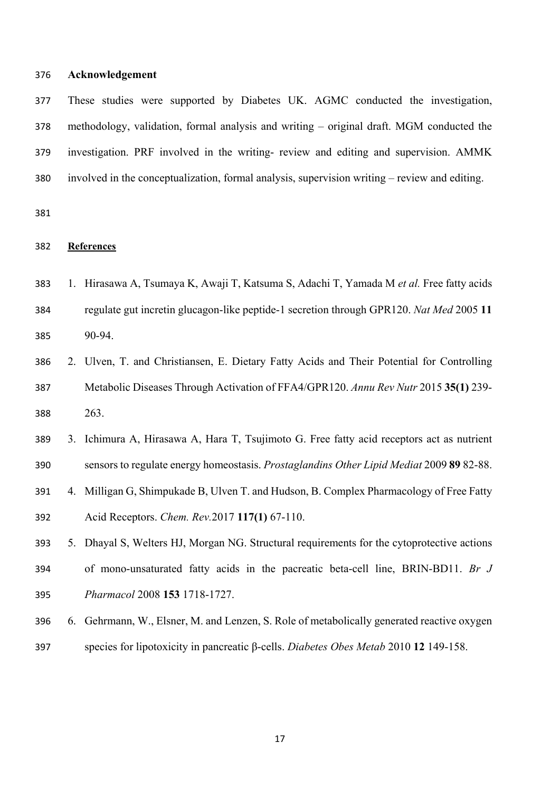**Acknowledgement**

 These studies were supported by Diabetes UK. AGMC conducted the investigation, methodology, validation, formal analysis and writing – original draft. MGM conducted the investigation. PRF involved in the writing- review and editing and supervision. AMMK involved in the conceptualization, formal analysis, supervision writing – review and editing.

# **References**

 1. Hirasawa A, Tsumaya K, Awaji T, Katsuma S, Adachi T, Yamada M *et al.* Free fatty acids regulate gut incretin glucagon-like peptide-1 secretion through GPR120. *Nat Med* 2005 **11**

90-94.

- 2. Ulven, T. and Christiansen, E. Dietary Fatty Acids and Their Potential for Controlling Metabolic Diseases Through Activation of FFA4/GPR120. *Annu Rev Nutr* 2015 **35(1)** 239- 263.
- 3. Ichimura A, Hirasawa A, Hara T, Tsujimoto G. Free fatty acid receptors act as nutrient sensors to regulate energy homeostasis. *Prostaglandins Other Lipid Mediat* 2009 **89** 82-88.
- 4. Milligan G, Shimpukade B, Ulven T. and Hudson, B. Complex Pharmacology of Free Fatty Acid Receptors. *Chem. Rev.*2017 **117(1)** 67-110.
- 5. Dhayal S, Welters HJ, Morgan NG. Structural requirements for the cytoprotective actions of mono-unsaturated fatty acids in the pacreatic beta-cell line, BRIN-BD11. *Br J Pharmacol* 2008 **153** 1718-1727.
- 6. Gehrmann, W., Elsner, M. and Lenzen, S. Role of metabolically generated reactive oxygen
- species for lipotoxicity in pancreatic β-cells. *Diabetes Obes Metab* 2010 **12** 149-158.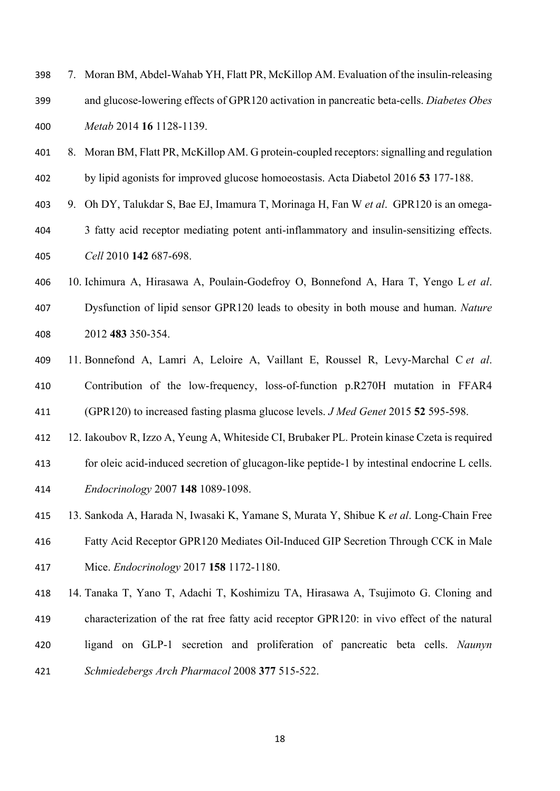- 7. Moran BM, Abdel-Wahab YH, Flatt PR, McKillop AM. Evaluation of the insulin-releasing and glucose-lowering effects of GPR120 activation in pancreatic beta-cells. *Diabetes Obes Metab* 2014 **16** 1128-1139.
- 8. Moran BM, Flatt PR, McKillop AM. G protein-coupled receptors: signalling and regulation by lipid agonists for improved glucose homoeostasis. Acta Diabetol 2016 **53** 177-188.
- 9. Oh DY, Talukdar S, Bae EJ, Imamura T, Morinaga H, Fan W *et al*. GPR120 is an omega-
- 3 fatty acid receptor mediating potent anti-inflammatory and insulin-sensitizing effects. *Cell* 2010 **142** 687-698.
- 10. Ichimura A, Hirasawa A, Poulain-Godefroy O, Bonnefond A, Hara T, Yengo L *et al*. Dysfunction of lipid sensor GPR120 leads to obesity in both mouse and human. *Nature* 2012 **483** 350-354.
- 11. Bonnefond A, Lamri A, Leloire A, Vaillant E, Roussel R, Levy-Marchal C *et al*. Contribution of the low-frequency, loss-of-function p.R270H mutation in FFAR4 (GPR120) to increased fasting plasma glucose levels. *J Med Genet* 2015 **52** 595-598.
- 12. Iakoubov R, Izzo A, Yeung A, Whiteside CI, Brubaker PL. Protein kinase Czeta is required
- for oleic acid-induced secretion of glucagon-like peptide-1 by intestinal endocrine L cells. *Endocrinology* 2007 **148** 1089-1098.
- 13. Sankoda A, Harada N, Iwasaki K, Yamane S, Murata Y, Shibue K *et al*. Long-Chain Free Fatty Acid Receptor GPR120 Mediates Oil-Induced GIP Secretion Through CCK in Male Mice. *Endocrinology* 2017 **158** 1172-1180.
- 14. Tanaka T, Yano T, Adachi T, Koshimizu TA, Hirasawa A, Tsujimoto G. Cloning and characterization of the rat free fatty acid receptor GPR120: in vivo effect of the natural ligand on GLP-1 secretion and proliferation of pancreatic beta cells. *Naunyn Schmiedebergs Arch Pharmacol* 2008 **377** 515-522.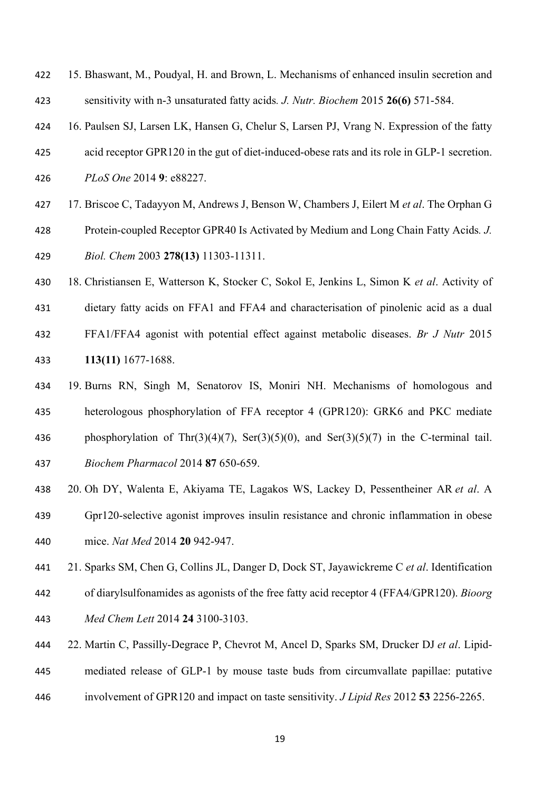| 422 | 15. Bhaswant, M., Poudyal, H. and Brown, L. Mechanisms of enhanced insulin secretion and    |
|-----|---------------------------------------------------------------------------------------------|
| 423 | sensitivity with n-3 unsaturated fatty acids. J. Nutr. Biochem 2015 $26(6)$ 571-584.        |
| 424 | 16. Paulsen SJ, Larsen LK, Hansen G, Chelur S, Larsen PJ, Vrang N. Expression of the fatty  |
| 425 | acid receptor GPR120 in the gut of diet-induced-obese rats and its role in GLP-1 secretion. |

*PLoS One* 2014 **9**: e88227.

- 17. Briscoe C, Tadayyon M, Andrews J, Benson W, Chambers J, Eilert M *et al*. The Orphan G
- Protein-coupled Receptor GPR40 Is Activated by Medium and Long Chain Fatty Acids*. J. Biol. Chem* 2003 **278(13)** 11303-11311.
- 18. Christiansen E, Watterson K, Stocker C, Sokol E, Jenkins L, Simon K *et al*. Activity of
- dietary fatty acids on FFA1 and FFA4 and characterisation of pinolenic acid as a dual
- FFA1/FFA4 agonist with potential effect against metabolic diseases. *Br J Nutr* 2015 **113(11)** 1677-1688.
- 19. Burns RN, Singh M, Senatorov IS, Moniri NH. Mechanisms of homologous and heterologous phosphorylation of FFA receptor 4 (GPR120): GRK6 and PKC mediate 436 phosphorylation of  $Thr(3)(4)(7)$ ,  $Ser(3)(5)(0)$ , and  $Ser(3)(5)(7)$  in the C-terminal tail. *Biochem Pharmacol* 2014 **87** 650-659.
- 20. Oh DY, Walenta E, Akiyama TE, Lagakos WS, Lackey D, Pessentheiner AR *et al*. A
- Gpr120-selective agonist improves insulin resistance and chronic inflammation in obese mice. *Nat Med* 2014 **20** 942-947.
- 21. Sparks SM, Chen G, Collins JL, Danger D, Dock ST, Jayawickreme C *et al*. Identification of diarylsulfonamides as agonists of the free fatty acid receptor 4 (FFA4/GPR120). *Bioorg*
- *Med Chem Lett* 2014 **24** 3100-3103.
- 22. Martin C, Passilly-Degrace P, Chevrot M, Ancel D, Sparks SM, Drucker DJ *et al*. Lipid- mediated release of GLP-1 by mouse taste buds from circumvallate papillae: putative involvement of GPR120 and impact on taste sensitivity. *J Lipid Res* 2012 **53** 2256-2265.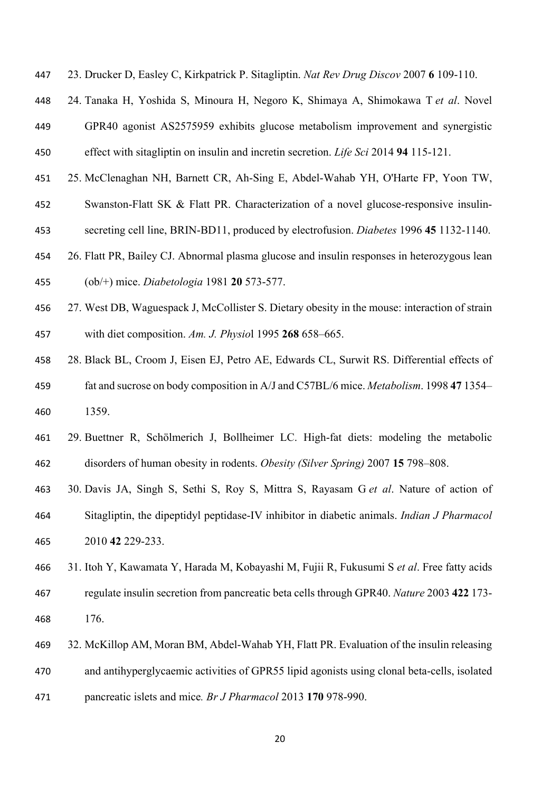- 23. Drucker D, Easley C, Kirkpatrick P. Sitagliptin. *Nat Rev Drug Discov* 2007 **6** 109-110.
- 24. Tanaka H, Yoshida S, Minoura H, Negoro K, Shimaya A, Shimokawa T *et al*. Novel GPR40 agonist AS2575959 exhibits glucose metabolism improvement and synergistic effect with sitagliptin on insulin and incretin secretion. *Life Sci* 2014 **94** 115-121.
- 25. McClenaghan NH, Barnett CR, Ah-Sing E, Abdel-Wahab YH, O'Harte FP, Yoon TW,
- Swanston-Flatt SK & Flatt PR. Characterization of a novel glucose-responsive insulin-
- secreting cell line, BRIN-BD11, produced by electrofusion. *Diabetes* 1996 **45** 1132-1140.
- 26. Flatt PR, Bailey CJ. Abnormal plasma glucose and insulin responses in heterozygous lean (ob/+) mice. *Diabetologia* 1981 **20** 573-577.
- 27. West DB, Waguespack J, McCollister S. Dietary obesity in the mouse: interaction of strain with diet composition. *Am. J. Physio*l 1995 **268** 658–665.
- 28. Black BL, Croom J, Eisen EJ, Petro AE, Edwards CL, Surwit RS. Differential effects of fat and sucrose on body composition in A/J and C57BL/6 mice. *Metabolism*. 1998 **47** 1354– 1359.
- 29. Buettner R, Schölmerich J, Bollheimer LC. High-fat diets: modeling the metabolic disorders of human obesity in rodents. *Obesity (Silver Spring)* 2007 **15** 798–808.
- 30. Davis JA, Singh S, Sethi S, Roy S, Mittra S, Rayasam G *et al*. Nature of action of Sitagliptin, the dipeptidyl peptidase-IV inhibitor in diabetic animals. *Indian J Pharmacol* 2010 **42** 229-233.
- 31. Itoh Y, Kawamata Y, Harada M, Kobayashi M, Fujii R, Fukusumi S *et al*. Free fatty acids regulate insulin secretion from pancreatic beta cells through GPR40. *Nature* 2003 **422** 173-
- 176.
- 32. McKillop AM, Moran BM, Abdel-Wahab YH, Flatt PR. Evaluation of the insulin releasing and antihyperglycaemic activities of GPR55 lipid agonists using clonal beta-cells, isolated pancreatic islets and mice*. Br J Pharmacol* 2013 **170** 978-990.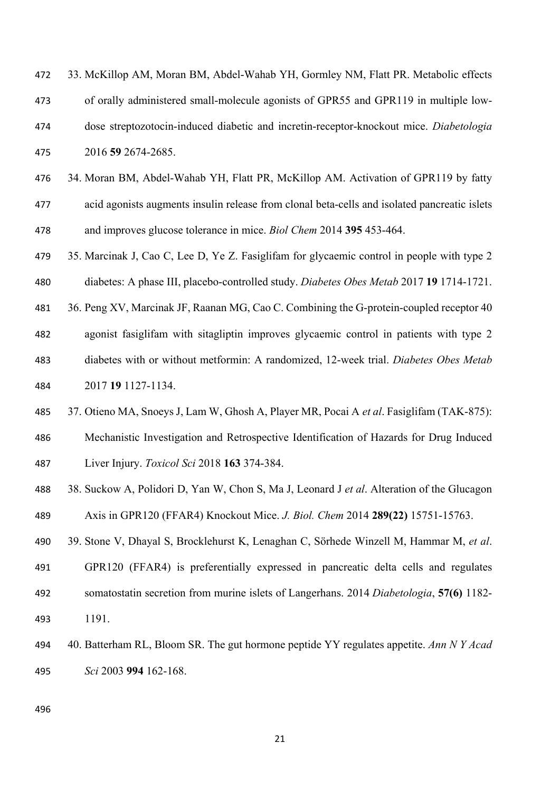| 472 | 33. McKillop AM, Moran BM, Abdel-Wahab YH, Gormley NM, Flatt PR. Metabolic effects     |
|-----|----------------------------------------------------------------------------------------|
| 473 | of orally administered small-molecule agonists of GPR55 and GPR119 in multiple low-    |
| 474 | dose streptozotocin-induced diabetic and incretin-receptor-knockout mice. Diabetologia |
| 475 | 2016 59 2674-2685.                                                                     |

- 34. Moran BM, Abdel-Wahab YH, Flatt PR, McKillop AM. Activation of GPR119 by fatty acid agonists augments insulin release from clonal beta-cells and isolated pancreatic islets and improves glucose tolerance in mice. *Biol Chem* 2014 **395** 453-464.
- 35. Marcinak J, Cao C, Lee D, Ye Z. Fasiglifam for glycaemic control in people with type 2 diabetes: A phase III, placebo-controlled study. *Diabetes Obes Metab* 2017 **19** 1714-1721.
- 36. Peng XV, Marcinak JF, Raanan MG, Cao C. Combining the G-protein-coupled receptor 40 agonist fasiglifam with sitagliptin improves glycaemic control in patients with type 2 diabetes with or without metformin: A randomized, 12-week trial. *Diabetes Obes Metab* 2017 **19** 1127-1134.
- 37. Otieno MA, Snoeys J, Lam W, Ghosh A, Player MR, Pocai A *et al*. Fasiglifam (TAK-875):

 Mechanistic Investigation and Retrospective Identification of Hazards for Drug Induced Liver Injury. *Toxicol Sci* 2018 **163** 374-384.

- 38. Suckow A, Polidori D, Yan W, Chon S, Ma J, Leonard J *et al*. Alteration of the Glucagon Axis in GPR120 (FFAR4) Knockout Mice. *J. Biol. Chem* 2014 **289(22)** 15751-15763.
- 39. Stone V, Dhayal S, Brocklehurst K, Lenaghan C, Sörhede Winzell M, Hammar M, *et al*. GPR120 (FFAR4) is preferentially expressed in pancreatic delta cells and regulates somatostatin secretion from murine islets of Langerhans. 2014 *Diabetologia*, **57(6)** 1182-
- 1191.
- 40. Batterham RL, Bloom SR. The gut hormone peptide YY regulates appetite. *Ann N Y Acad Sci* 2003 **994** 162-168.
-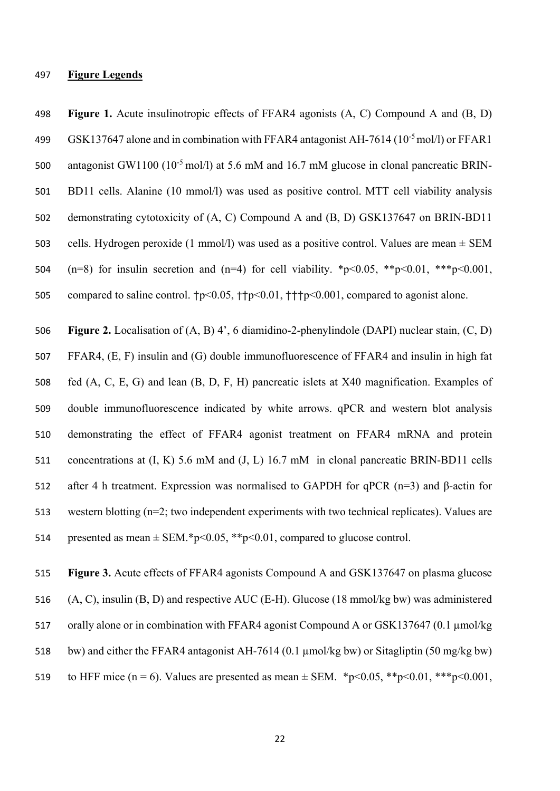#### **Figure Legends**

 **Figure 1.** Acute insulinotropic effects of FFAR4 agonists (A, C) Compound A and (B, D) 499 GSK137647 alone and in combination with FFAR4 antagonist AH-7614 ( $10^{-5}$  mol/l) or FFAR1 500 antagonist GW1100 (10<sup>-5</sup> mol/l) at 5.6 mM and 16.7 mM glucose in clonal pancreatic BRIN- BD11 cells. Alanine (10 mmol/l) was used as positive control. MTT cell viability analysis demonstrating cytotoxicity of (A, C) Compound A and (B, D) GSK137647 on BRIN-BD11 503 cells. Hydrogen peroxide (1 mmol/l) was used as a positive control. Values are mean  $\pm$  SEM 504 (n=8) for insulin secretion and (n=4) for cell viability. \*p<0.05, \*\*p<0.01, \*\*\*p<0.001, compared to saline control. †p<0.05, ††p<0.01, †††p<0.001, compared to agonist alone.

 **Figure 2.** Localisation of (A, B) 4', 6 diamidino-2-phenylindole (DAPI) nuclear stain, (C, D) FFAR4, (E, F) insulin and (G) double immunofluorescence of FFAR4 and insulin in high fat fed (A, C, E, G) and lean (B, D, F, H) pancreatic islets at X40 magnification. Examples of double immunofluorescence indicated by white arrows. qPCR and western blot analysis demonstrating the effect of FFAR4 agonist treatment on FFAR4 mRNA and protein 511 concentrations at (I, K) 5.6 mM and (J, L) 16.7 mM in clonal pancreatic BRIN-BD11 cells 512 after 4 h treatment. Expression was normalised to GAPDH for qPCR (n=3) and β-actin for western blotting (n=2; two independent experiments with two technical replicates). Values are 514 presented as mean  $\pm$  SEM.\*p<0.05, \*\*p<0.01, compared to glucose control.

 **Figure 3.** Acute effects of FFAR4 agonists Compound A and GSK137647 on plasma glucose (A, C), insulin (B, D) and respective AUC (E-H). Glucose (18 mmol/kg bw) was administered orally alone or in combination with FFAR4 agonist Compound A or GSK137647 (0.1 µmol/kg bw) and either the FFAR4 antagonist AH-7614 (0.1 µmol/kg bw) or Sitagliptin (50 mg/kg bw) 519 to HFF mice (n = 6). Values are presented as mean  $\pm$  SEM. \*p<0.05, \*\*p<0.01, \*\*\*p<0.001,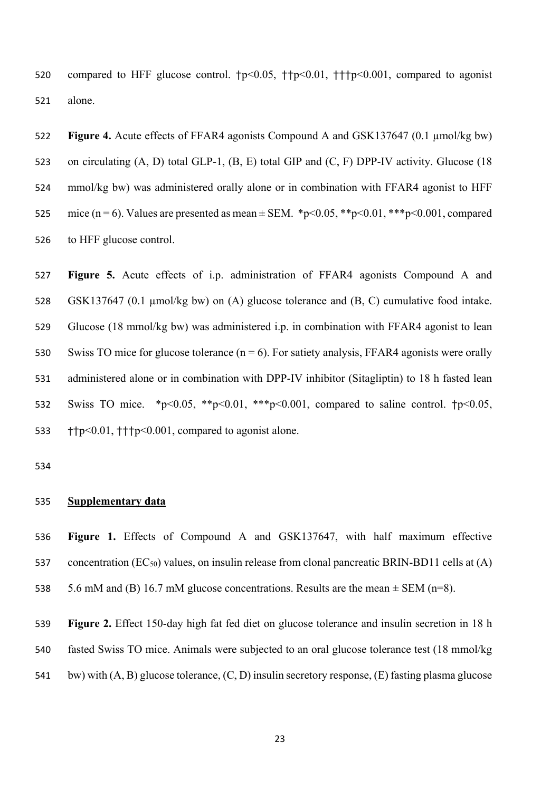compared to HFF glucose control. †p<0.05, ††p<0.01, †††p<0.001, compared to agonist alone.

 **Figure 4.** Acute effects of FFAR4 agonists Compound A and GSK137647 (0.1 µmol/kg bw) on circulating (A, D) total GLP-1, (B, E) total GIP and (C, F) DPP-IV activity. Glucose (18 mmol/kg bw) was administered orally alone or in combination with FFAR4 agonist to HFF 525 mice (n = 6). Values are presented as mean  $\pm$  SEM. \*p<0.05, \*\*p<0.01, \*\*\*p<0.001, compared to HFF glucose control.

 **Figure 5.** Acute effects of i.p. administration of FFAR4 agonists Compound A and GSK137647 (0.1 µmol/kg bw) on (A) glucose tolerance and (B, C) cumulative food intake. Glucose (18 mmol/kg bw) was administered i.p. in combination with FFAR4 agonist to lean 530 Swiss TO mice for glucose tolerance  $(n = 6)$ . For satiety analysis, FFAR4 agonists were orally administered alone or in combination with DPP-IV inhibitor (Sitagliptin) to 18 h fasted lean 532 Swiss TO mice. \*p<0.05, \*\*p<0.01, \*\*\*p<0.001, compared to saline control.  $tp<0.05$ , ††p<0.01, †††p<0.001, compared to agonist alone.

### **Supplementary data**

 **Figure 1.** Effects of Compound A and GSK137647, with half maximum effective concentration (EC50) values, on insulin release from clonal pancreatic BRIN-BD11 cells at (A) 538 5.6 mM and (B) 16.7 mM glucose concentrations. Results are the mean  $\pm$  SEM (n=8).

 **Figure 2.** Effect 150-day high fat fed diet on glucose tolerance and insulin secretion in 18 h fasted Swiss TO mice. Animals were subjected to an oral glucose tolerance test (18 mmol/kg bw) with (A, B) glucose tolerance, (C, D) insulin secretory response, (E) fasting plasma glucose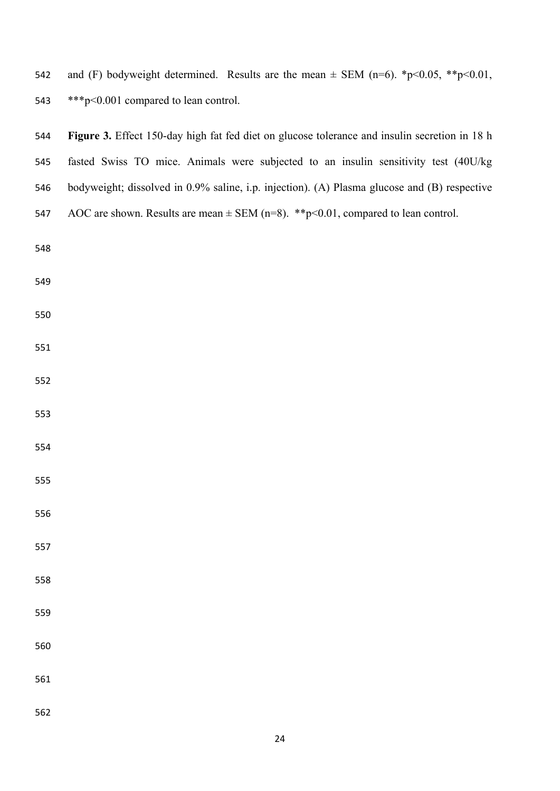542 and (F) bodyweight determined. Results are the mean  $\pm$  SEM (n=6). \*p<0.05, \*\*p<0.01, \*\*\*p<0.001 compared to lean control.

 **Figure 3.** Effect 150-day high fat fed diet on glucose tolerance and insulin secretion in 18 h fasted Swiss TO mice. Animals were subjected to an insulin sensitivity test (40U/kg bodyweight; dissolved in 0.9% saline, i.p. injection). (A) Plasma glucose and (B) respective 547 AOC are shown. Results are mean  $\pm$  SEM (n=8). \*\*p<0.01, compared to lean control.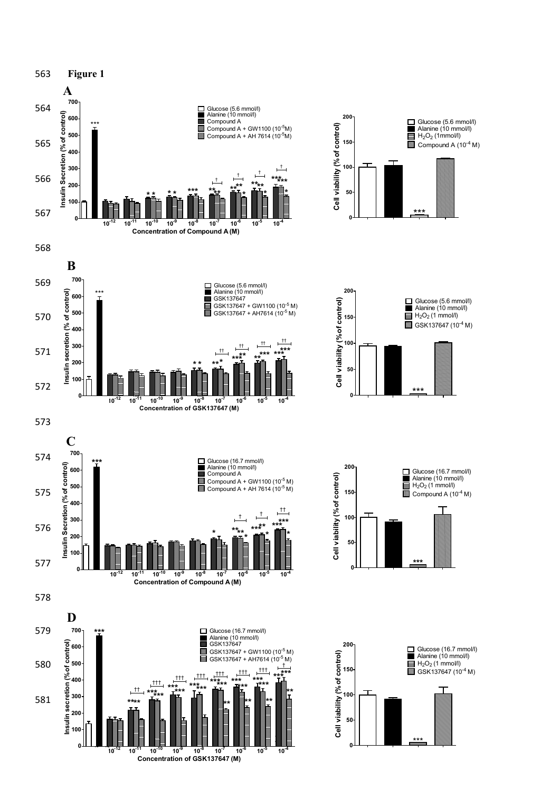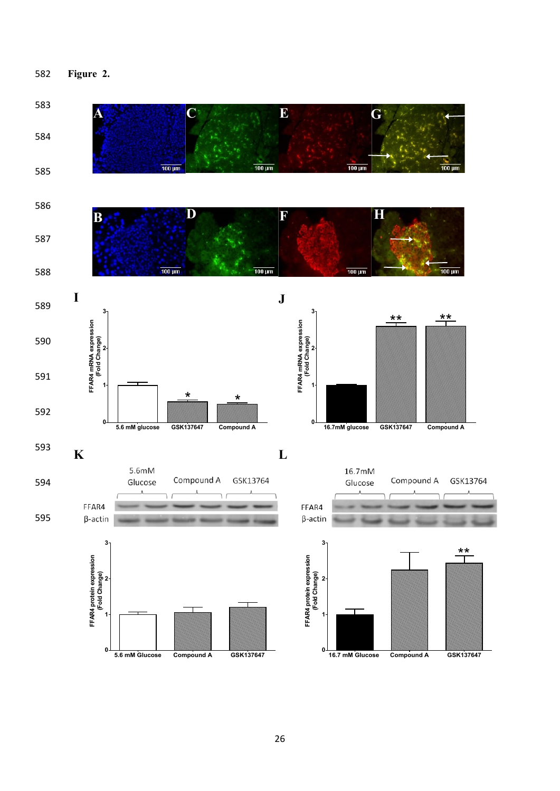582 **Figure 2.**

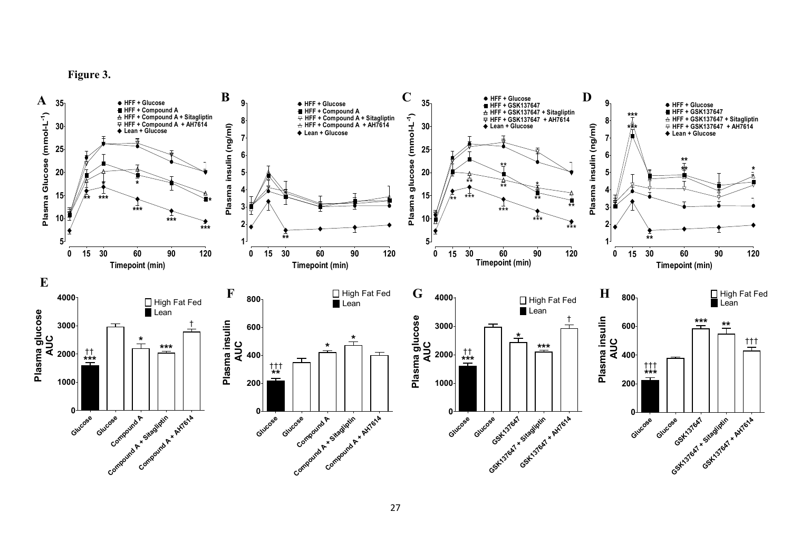

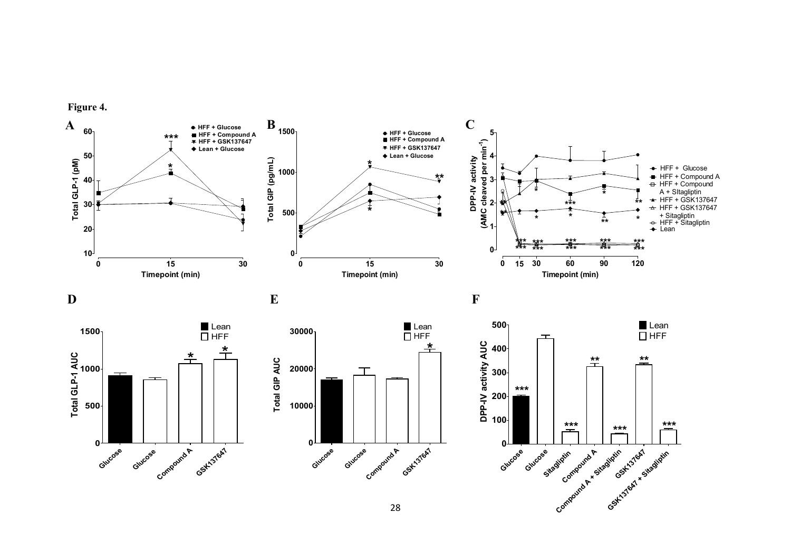





**D E F**



**Figure 4.**

28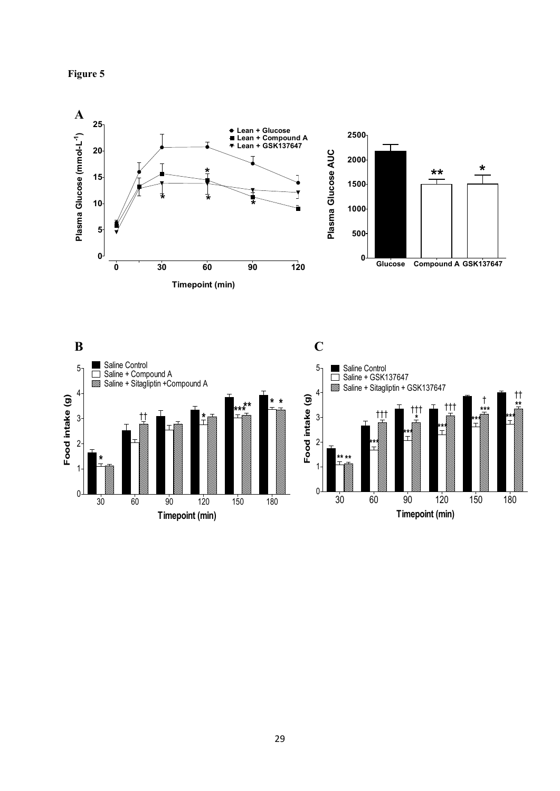



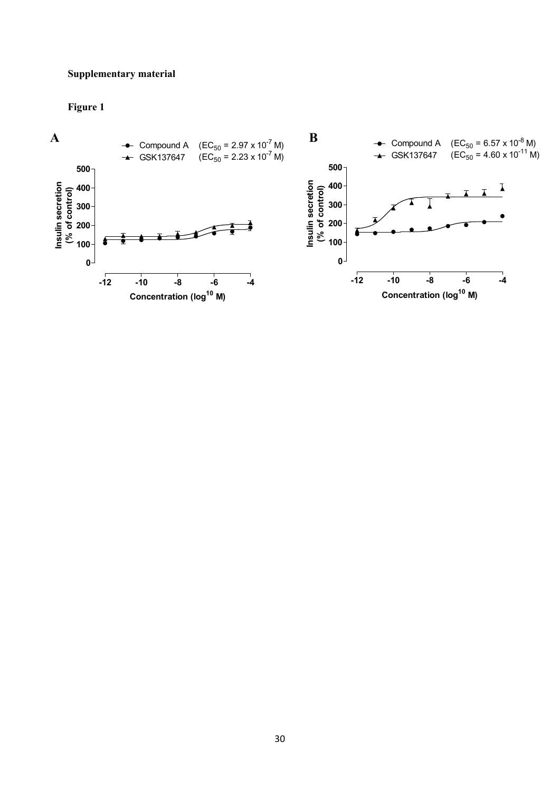## **Supplementary material**

**Figure 1**

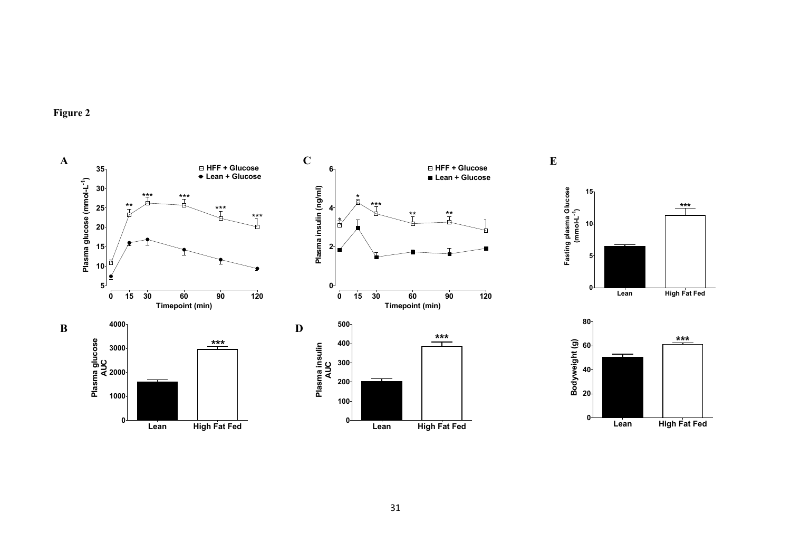